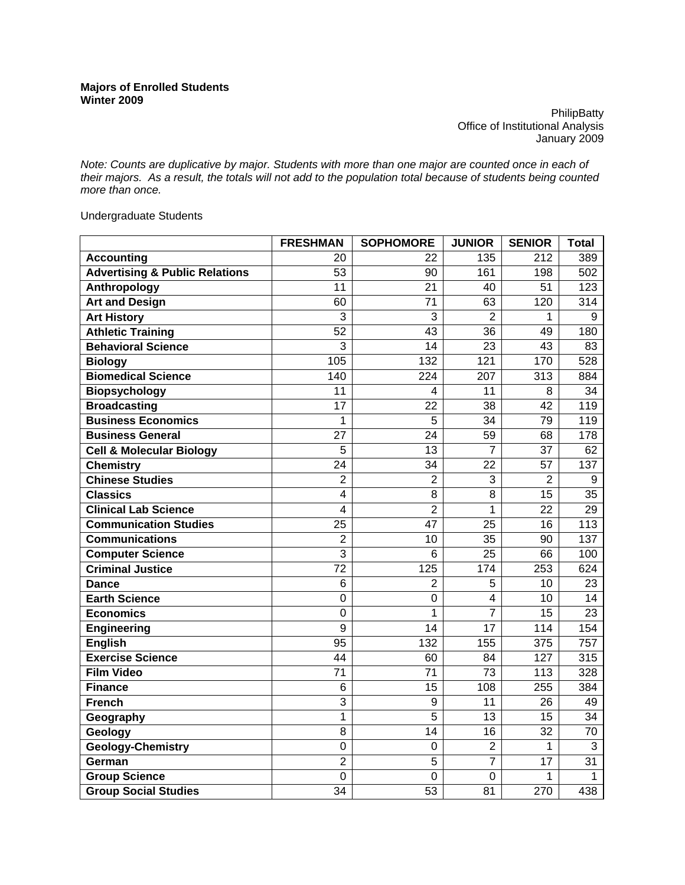**PhilipBatty** Office of Institutional Analysis January 2009

*Note: Counts are duplicative by major. Students with more than one major are counted once in each of their majors. As a result, the totals will not add to the population total because of students being counted more than once.* 

Undergraduate Students

|                                           | <b>FRESHMAN</b> | <b>SOPHOMORE</b> | <b>JUNIOR</b>   | <b>SENIOR</b>    | <b>Total</b>     |
|-------------------------------------------|-----------------|------------------|-----------------|------------------|------------------|
| <b>Accounting</b>                         | 20              | 22               | 135             | 212              | 389              |
| <b>Advertising &amp; Public Relations</b> | 53              | 90               | 161             | 198              | 502              |
| Anthropology                              | 11              | 21               | 40              | 51               | 123              |
| <b>Art and Design</b>                     | 60              | $\overline{71}$  | 63              | 120              | 314              |
| <b>Art History</b>                        | 3               | 3                | $\overline{2}$  | 1                | 9                |
| <b>Athletic Training</b>                  | 52              | 43               | 36              | 49               | 180              |
| <b>Behavioral Science</b>                 | $\overline{3}$  | $\overline{14}$  | $\overline{23}$ | $\overline{43}$  | 83               |
| <b>Biology</b>                            | 105             | 132              | 121             | 170              | 528              |
| <b>Biomedical Science</b>                 | 140             | 224              | 207             | 313              | 884              |
| <b>Biopsychology</b>                      | 11              | 4                | 11              | 8                | 34               |
| <b>Broadcasting</b>                       | 17              | 22               | 38              | 42               | 119              |
| <b>Business Economics</b>                 | 1               | 5                | 34              | 79               | 119              |
| <b>Business General</b>                   | 27              | 24               | 59              | 68               | 178              |
| <b>Cell &amp; Molecular Biology</b>       | 5               | 13               | 7               | 37               | 62               |
| <b>Chemistry</b>                          | 24              | 34               | 22              | 57               | 137              |
| <b>Chinese Studies</b>                    | $\overline{2}$  | $\overline{2}$   | 3               | $\overline{2}$   | 9                |
| <b>Classics</b>                           | 4               | 8                | 8               | 15               | $\overline{35}$  |
| <b>Clinical Lab Science</b>               | 4               | $\overline{2}$   | 1               | $\overline{22}$  | $\overline{29}$  |
| <b>Communication Studies</b>              | $\overline{25}$ | $\overline{47}$  | $\overline{25}$ | 16               | $\overline{113}$ |
| <b>Communications</b>                     | $\overline{2}$  | 10               | 35              | 90               | 137              |
| <b>Computer Science</b>                   | $\overline{3}$  | 6                | $\overline{25}$ | 66               | 100              |
| <b>Criminal Justice</b>                   | 72              | 125              | 174             | 253              | 624              |
| <b>Dance</b>                              | 6               | 2                | 5               | 10               | 23               |
| <b>Earth Science</b>                      | $\overline{0}$  | $\overline{0}$   | $\overline{4}$  | 10               | $\overline{14}$  |
| <b>Economics</b>                          | 0               | 1                | $\overline{7}$  | 15               | 23               |
| <b>Engineering</b>                        | $\overline{9}$  | $\overline{14}$  | $\overline{17}$ | 114              | 154              |
| <b>English</b>                            | $\overline{95}$ | 132              | 155             | $\overline{375}$ | $\overline{757}$ |
| <b>Exercise Science</b>                   | 44              | 60               | 84              | 127              | 315              |
| <b>Film Video</b>                         | $\overline{71}$ | $\overline{71}$  | $\overline{73}$ | 113              | 328              |
| <b>Finance</b>                            | 6               | $\overline{15}$  | 108             | 255              | 384              |
| <b>French</b>                             | 3               | 9                | 11              | 26               | 49               |
| Geography                                 | 1               | 5                | 13              | 15               | 34               |
| Geology                                   | 8               | 14               | 16              | 32               | 70               |
| <b>Geology-Chemistry</b>                  | 0               | 0                | $\overline{2}$  | 1                | 3                |
| German                                    | $\overline{2}$  | 5                | $\overline{7}$  | 17               | 31               |
| <b>Group Science</b>                      | $\mathbf 0$     | $\mathbf 0$      | 0               | 1                | 1                |
| <b>Group Social Studies</b>               | $\overline{34}$ | $\overline{53}$  | 81              | 270              | 438              |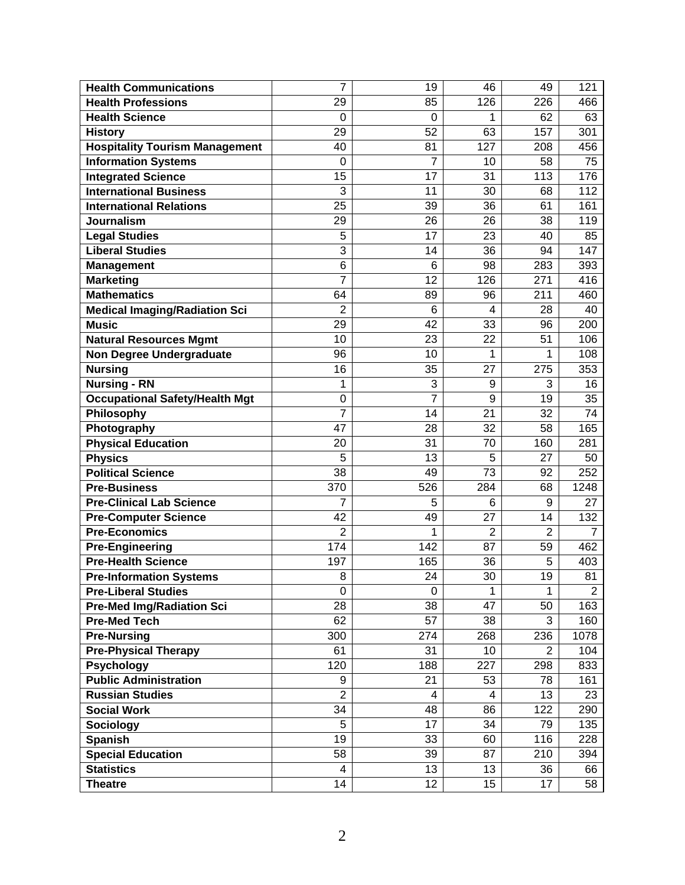| <b>Health Communications</b>          | 7               | 19  | 46             | 49             | 121            |
|---------------------------------------|-----------------|-----|----------------|----------------|----------------|
| <b>Health Professions</b>             | 29              | 85  | 126            | 226            | 466            |
| <b>Health Science</b>                 | $\Omega$        | 0   | 1              | 62             | 63             |
| <b>History</b>                        | 29              | 52  | 63             | 157            | 301            |
| <b>Hospitality Tourism Management</b> | 40              | 81  | 127            | 208            | 456            |
| <b>Information Systems</b>            | 0               | 7   | 10             | 58             | 75             |
| <b>Integrated Science</b>             | 15              | 17  | 31             | 113            | 176            |
| <b>International Business</b>         | 3               | 11  | 30             | 68             | 112            |
| <b>International Relations</b>        | $\overline{25}$ | 39  | 36             | 61             | 161            |
| <b>Journalism</b>                     | 29              | 26  | 26             | 38             | 119            |
| <b>Legal Studies</b>                  | 5               | 17  | 23             | 40             | 85             |
| <b>Liberal Studies</b>                | 3               | 14  | 36             | 94             | 147            |
| <b>Management</b>                     | 6               | 6   | 98             | 283            | 393            |
| <b>Marketing</b>                      | $\overline{7}$  | 12  | 126            | 271            | 416            |
| <b>Mathematics</b>                    | 64              | 89  | 96             | 211            | 460            |
| <b>Medical Imaging/Radiation Sci</b>  | $\overline{2}$  | 6   | 4              | 28             | 40             |
| <b>Music</b>                          | 29              | 42  | 33             | 96             | 200            |
| <b>Natural Resources Mgmt</b>         | 10              | 23  | 22             | 51             | 106            |
| <b>Non Degree Undergraduate</b>       | 96              | 10  | 1              | 1              | 108            |
| <b>Nursing</b>                        | 16              | 35  | 27             | 275            | 353            |
| <b>Nursing - RN</b>                   | 1               | 3   | 9              | 3              | 16             |
| <b>Occupational Safety/Health Mgt</b> | 0               | 7   | 9              | 19             | 35             |
| Philosophy                            | 7               | 14  | 21             | 32             | 74             |
| Photography                           | 47              | 28  | 32             | 58             | 165            |
| <b>Physical Education</b>             | 20              | 31  | 70             | 160            | 281            |
| <b>Physics</b>                        | 5               | 13  | 5              | 27             | 50             |
| <b>Political Science</b>              | 38              | 49  | 73             | 92             | 252            |
| <b>Pre-Business</b>                   | 370             | 526 | 284            | 68             | 1248           |
| <b>Pre-Clinical Lab Science</b>       | 7               | 5   | 6              | 9              | 27             |
| <b>Pre-Computer Science</b>           | 42              | 49  | 27             | 14             | 132            |
| <b>Pre-Economics</b>                  | $\overline{2}$  | 1   | $\overline{2}$ | $\overline{2}$ | $\overline{7}$ |
| <b>Pre-Engineering</b>                | 174             | 142 | 87             | 59             | 462            |
| <b>Pre-Health Science</b>             | 197             | 165 | 36             | 5              | 403            |
| <b>Pre-Information Systems</b>        | 8               | 24  | 30             | 19             | 81             |
| <b>Pre-Liberal Studies</b>            | 0               | 0   | 1              | 1              | $\overline{2}$ |
| <b>Pre-Med Img/Radiation Sci</b>      | 28              | 38  | 47             | 50             | 163            |
| <b>Pre-Med Tech</b>                   | 62              | 57  | 38             | 3              | 160            |
| <b>Pre-Nursing</b>                    | 300             | 274 | 268            | 236            | 1078           |
| <b>Pre-Physical Therapy</b>           | 61              | 31  | 10             | $\overline{2}$ | 104            |
| <b>Psychology</b>                     | 120             | 188 | 227            | 298            | 833            |
| <b>Public Administration</b>          | 9               | 21  | 53             | 78             | 161            |
| <b>Russian Studies</b>                | $\overline{2}$  | 4   | 4              | 13             | 23             |
| <b>Social Work</b>                    | 34              | 48  | 86             | 122            | 290            |
| <b>Sociology</b>                      | 5               | 17  | 34             | 79             | 135            |
| <b>Spanish</b>                        | 19              | 33  | 60             | 116            | 228            |
| <b>Special Education</b>              | 58              | 39  | 87             | 210            | 394            |
| <b>Statistics</b>                     | 4               | 13  | 13             | 36             | 66             |
| <b>Theatre</b>                        | 14              | 12  | 15             | 17             | 58             |